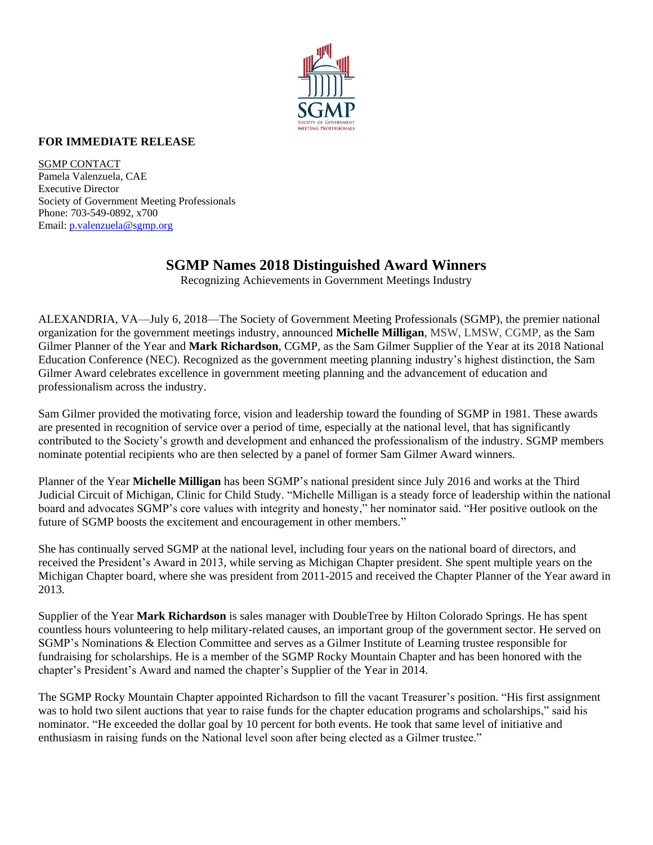

## **FOR IMMEDIATE RELEASE**

SGMP CONTACT Pamela Valenzuela, CAE Executive Director Society of Government Meeting Professionals Phone: 703-549-0892, x700 Email: [p.valenzuela@sgmp.org](mailto:p.valenzuela@sgmp.org)

## **SGMP Names 2018 Distinguished Award Winners**

Recognizing Achievements in Government Meetings Industry

ALEXANDRIA, VA—July 6, 2018—The Society of Government Meeting Professionals (SGMP), the premier national organization for the government meetings industry, announced **Michelle Milligan**, MSW, LMSW, CGMP, as the Sam Gilmer Planner of the Year and **Mark Richardson**, CGMP, as the Sam Gilmer Supplier of the Year at its 2018 National Education Conference (NEC). Recognized as the government meeting planning industry's highest distinction, the Sam Gilmer Award celebrates excellence in government meeting planning and the advancement of education and professionalism across the industry.

Sam Gilmer provided the motivating force, vision and leadership toward the founding of SGMP in 1981. These awards are presented in recognition of service over a period of time, especially at the national level, that has significantly contributed to the Society's growth and development and enhanced the professionalism of the industry. SGMP members nominate potential recipients who are then selected by a panel of former Sam Gilmer Award winners.

Planner of the Year **Michelle Milligan** has been SGMP's national president since July 2016 and works at the Third Judicial Circuit of Michigan, Clinic for Child Study. "Michelle Milligan is a steady force of leadership within the national board and advocates SGMP's core values with integrity and honesty," her nominator said. "Her positive outlook on the future of SGMP boosts the excitement and encouragement in other members."

She has continually served SGMP at the national level, including four years on the national board of directors, and received the President's Award in 2013, while serving as Michigan Chapter president. She spent multiple years on the Michigan Chapter board, where she was president from 2011-2015 and received the Chapter Planner of the Year award in 2013.

Supplier of the Year **Mark Richardson** is sales manager with DoubleTree by Hilton Colorado Springs. He has spent countless hours volunteering to help military-related causes, an important group of the government sector. He served on SGMP's Nominations & Election Committee and serves as a Gilmer Institute of Learning trustee responsible for fundraising for scholarships. He is a member of the SGMP Rocky Mountain Chapter and has been honored with the chapter's President's Award and named the chapter's Supplier of the Year in 2014.

The SGMP Rocky Mountain Chapter appointed Richardson to fill the vacant Treasurer's position. "His first assignment was to hold two silent auctions that year to raise funds for the chapter education programs and scholarships," said his nominator. "He exceeded the dollar goal by 10 percent for both events. He took that same level of initiative and enthusiasm in raising funds on the National level soon after being elected as a Gilmer trustee."